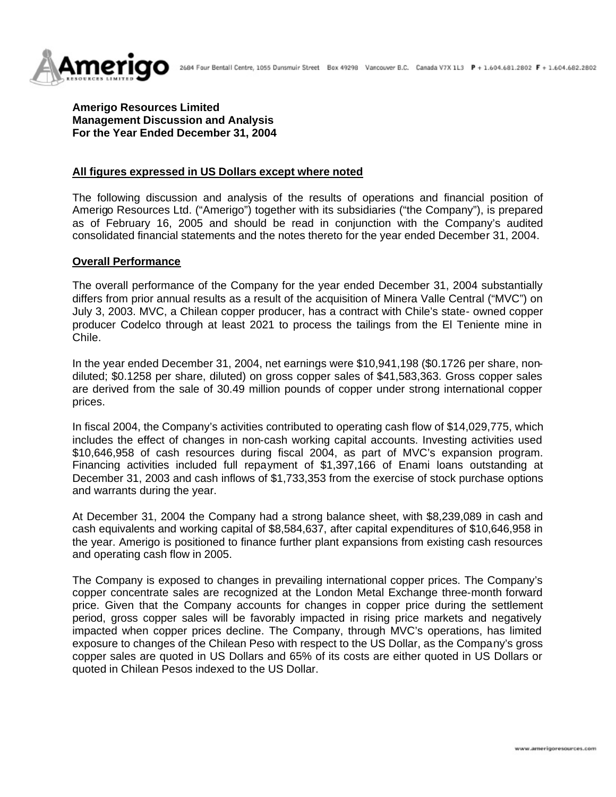

**Amerigo Resources Limited Management Discussion and Analysis For the Year Ended December 31, 2004**

### **All figures expressed in US Dollars except where noted**

The following discussion and analysis of the results of operations and financial position of Amerigo Resources Ltd. ("Amerigo") together with its subsidiaries ("the Company"), is prepared as of February 16, 2005 and should be read in conjunction with the Company's audited consolidated financial statements and the notes thereto for the year ended December 31, 2004.

#### **Overall Performance**

The overall performance of the Company for the year ended December 31, 2004 substantially differs from prior annual results as a result of the acquisition of Minera Valle Central ("MVC") on July 3, 2003. MVC, a Chilean copper producer, has a contract with Chile's state- owned copper producer Codelco through at least 2021 to process the tailings from the El Teniente mine in Chile.

In the year ended December 31, 2004, net earnings were \$10,941,198 (\$0.1726 per share, nondiluted; \$0.1258 per share, diluted) on gross copper sales of \$41,583,363. Gross copper sales are derived from the sale of 30.49 million pounds of copper under strong international copper prices.

In fiscal 2004, the Company's activities contributed to operating cash flow of \$14,029,775, which includes the effect of changes in non-cash working capital accounts. Investing activities used \$10,646,958 of cash resources during fiscal 2004, as part of MVC's expansion program. Financing activities included full repayment of \$1,397,166 of Enami loans outstanding at December 31, 2003 and cash inflows of \$1,733,353 from the exercise of stock purchase options and warrants during the year.

At December 31, 2004 the Company had a strong balance sheet, with \$8,239,089 in cash and cash equivalents and working capital of \$8,584,637, after capital expenditures of \$10,646,958 in the year. Amerigo is positioned to finance further plant expansions from existing cash resources and operating cash flow in 2005.

The Company is exposed to changes in prevailing international copper prices. The Company's copper concentrate sales are recognized at the London Metal Exchange three-month forward price. Given that the Company accounts for changes in copper price during the settlement period, gross copper sales will be favorably impacted in rising price markets and negatively impacted when copper prices decline. The Company, through MVC's operations, has limited exposure to changes of the Chilean Peso with respect to the US Dollar, as the Company's gross copper sales are quoted in US Dollars and 65% of its costs are either quoted in US Dollars or quoted in Chilean Pesos indexed to the US Dollar.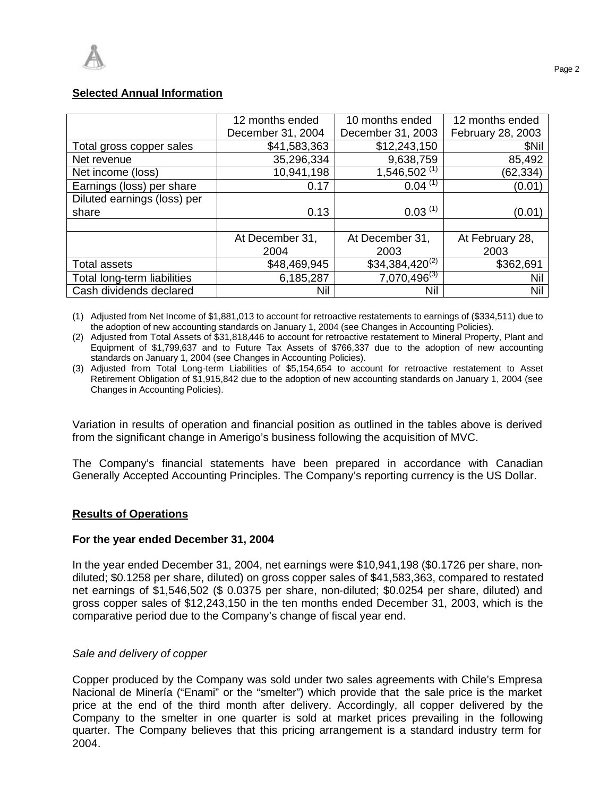# **Selected Annual Information**

|                             | 12 months ended   | 10 months ended     | 12 months ended   |
|-----------------------------|-------------------|---------------------|-------------------|
|                             | December 31, 2004 | December 31, 2003   | February 28, 2003 |
| Total gross copper sales    | \$41,583,363      | \$12,243,150        | \$Nil             |
| Net revenue                 | 35,296,334        | 9,638,759           | 85,492            |
| Net income (loss)           | 10,941,198        | $1,546,502^{(1)}$   | (62, 334)         |
| Earnings (loss) per share   | 0.17              | $0.04^{(1)}$        | (0.01)            |
| Diluted earnings (loss) per |                   |                     |                   |
| share                       | 0.13              | $0.03^{(1)}$        | (0.01)            |
|                             |                   |                     |                   |
|                             | At December 31,   | At December 31,     | At February 28,   |
|                             | 2004              | 2003                | 2003              |
| <b>Total assets</b>         | \$48,469,945      | $$34,384,420^{(2)}$ | \$362,691         |
| Total long-term liabilities | 6,185,287         | $7,070,496^{(3)}$   | Nil               |
| Cash dividends declared     | Nil               | <b>Nil</b>          | Nil               |

(1) Adjusted from Net Income of \$1,881,013 to account for retroactive restatements to earnings of (\$334,511) due to the adoption of new accounting standards on January 1, 2004 (see Changes in Accounting Policies).

(2) Adjusted from Total Assets of \$31,818,446 to account for retroactive restatement to Mineral Property, Plant and Equipment of \$1,799,637 and to Future Tax Assets of \$766,337 due to the adoption of new accounting standards on January 1, 2004 (see Changes in Accounting Policies).

(3) Adjusted from Total Long-term Liabilities of \$5,154,654 to account for retroactive restatement to Asset Retirement Obligation of \$1,915,842 due to the adoption of new accounting standards on January 1, 2004 (see Changes in Accounting Policies).

Variation in results of operation and financial position as outlined in the tables above is derived from the significant change in Amerigo's business following the acquisition of MVC.

The Company's financial statements have been prepared in accordance with Canadian Generally Accepted Accounting Principles. The Company's reporting currency is the US Dollar.

# **Results of Operations**

### **For the year ended December 31, 2004**

In the year ended December 31, 2004, net earnings were \$10,941,198 (\$0.1726 per share, nondiluted; \$0.1258 per share, diluted) on gross copper sales of \$41,583,363, compared to restated net earnings of \$1,546,502 (\$ 0.0375 per share, non-diluted; \$0.0254 per share, diluted) and gross copper sales of \$12,243,150 in the ten months ended December 31, 2003, which is the comparative period due to the Company's change of fiscal year end.

### *Sale and delivery of copper*

Copper produced by the Company was sold under two sales agreements with Chile's Empresa Nacional de Minería ("Enami" or the "smelter") which provide that the sale price is the market price at the end of the third month after delivery. Accordingly, all copper delivered by the Company to the smelter in one quarter is sold at market prices prevailing in the following quarter. The Company believes that this pricing arrangement is a standard industry term for 2004.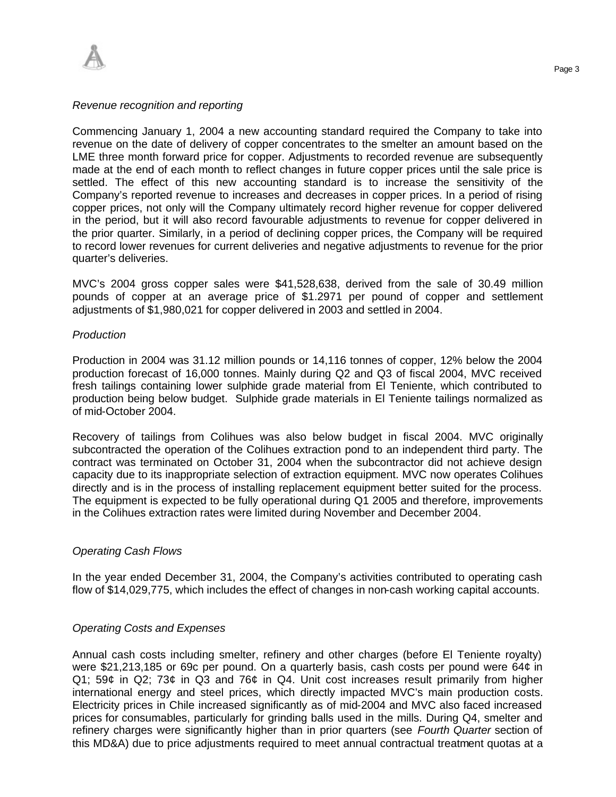

### *Revenue recognition and reporting*

Commencing January 1, 2004 a new accounting standard required the Company to take into revenue on the date of delivery of copper concentrates to the smelter an amount based on the LME three month forward price for copper. Adjustments to recorded revenue are subsequently made at the end of each month to reflect changes in future copper prices until the sale price is settled. The effect of this new accounting standard is to increase the sensitivity of the Company's reported revenue to increases and decreases in copper prices. In a period of rising copper prices, not only will the Company ultimately record higher revenue for copper delivered in the period, but it will also record favourable adjustments to revenue for copper delivered in the prior quarter. Similarly, in a period of declining copper prices, the Company will be required to record lower revenues for current deliveries and negative adjustments to revenue for the prior quarter's deliveries.

MVC's 2004 gross copper sales were \$41,528,638, derived from the sale of 30.49 million pounds of copper at an average price of \$1.2971 per pound of copper and settlement adjustments of \$1,980,021 for copper delivered in 2003 and settled in 2004.

### *Production*

Production in 2004 was 31.12 million pounds or 14,116 tonnes of copper, 12% below the 2004 production forecast of 16,000 tonnes. Mainly during Q2 and Q3 of fiscal 2004, MVC received fresh tailings containing lower sulphide grade material from El Teniente, which contributed to production being below budget. Sulphide grade materials in El Teniente tailings normalized as of mid-October 2004.

Recovery of tailings from Colihues was also below budget in fiscal 2004. MVC originally subcontracted the operation of the Colihues extraction pond to an independent third party. The contract was terminated on October 31, 2004 when the subcontractor did not achieve design capacity due to its inappropriate selection of extraction equipment. MVC now operates Colihues directly and is in the process of installing replacement equipment better suited for the process. The equipment is expected to be fully operational during Q1 2005 and therefore, improvements in the Colihues extraction rates were limited during November and December 2004.

### *Operating Cash Flows*

In the year ended December 31, 2004, the Company's activities contributed to operating cash flow of \$14,029,775, which includes the effect of changes in non-cash working capital accounts.

### *Operating Costs and Expenses*

Annual cash costs including smelter, refinery and other charges (before El Teniente royalty) were \$21,213,185 or 69c per pound. On a quarterly basis, cash costs per pound were 64¢ in Q1; 59¢ in Q2; 73¢ in Q3 and 76¢ in Q4. Unit cost increases result primarily from higher international energy and steel prices, which directly impacted MVC's main production costs. Electricity prices in Chile increased significantly as of mid-2004 and MVC also faced increased prices for consumables, particularly for grinding balls used in the mills. During Q4, smelter and refinery charges were significantly higher than in prior quarters (see *Fourth Quarter* section of this MD&A) due to price adjustments required to meet annual contractual treatment quotas at a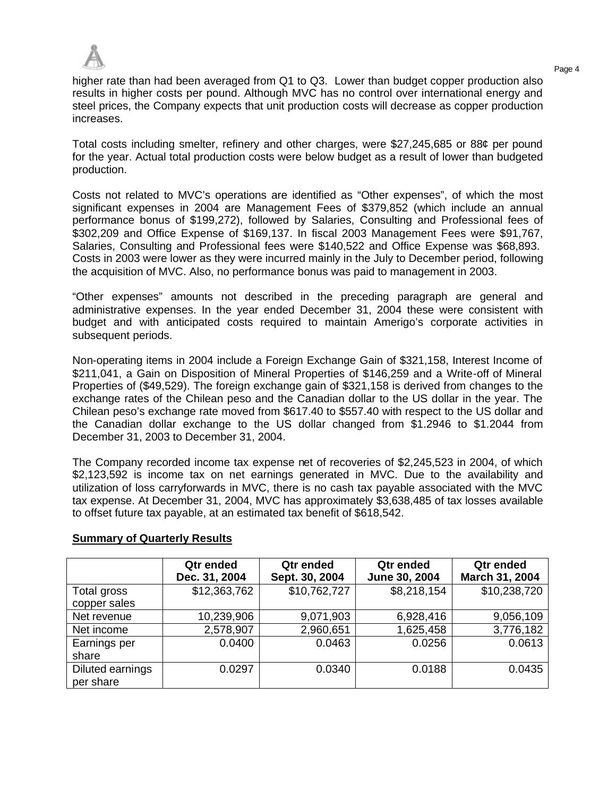

higher rate than had been averaged from Q1 to Q3. Lower than budget copper production also results in higher costs per pound. Although MVC has no control over international energy and steel prices, the Company expects that unit production costs will decrease as copper production increases.

Total costs including smelter, refinery and other charges, were \$27,245,685 or 88¢ per pound for the year. Actual total production costs were below budget as a result of lower than budgeted production.

Costs not related to MVC's operations are identified as "Other expenses", of which the most significant expenses in 2004 are Management Fees of \$379,852 (which include an annual performance bonus of \$199,272), followed by Salaries, Consulting and Professional fees of \$302,209 and Office Expense of \$169,137. In fiscal 2003 Management Fees were \$91,767, Salaries, Consulting and Professional fees were \$140,522 and Office Expense was \$68,893. Costs in 2003 were lower as they were incurred mainly in the July to December period, following the acquisition of MVC. Also, no performance bonus was paid to management in 2003.

"Other expenses" amounts not described in the preceding paragraph are general and administrative expenses. In the year ended December 31, 2004 these were consistent with budget and with anticipated costs required to maintain Amerigo's corporate activities in subsequent periods.

Non-operating items in 2004 include a Foreign Exchange Gain of \$321,158, Interest Income of \$211,041, a Gain on Disposition of Mineral Properties of \$146,259 and a Write-off of Mineral Properties of (\$49,529). The foreign exchange gain of \$321,158 is derived from changes to the exchange rates of the Chilean peso and the Canadian dollar to the US dollar in the year. The Chilean peso's exchange rate moved from \$617.40 to \$557.40 with respect to the US dollar and the Canadian dollar exchange to the US dollar changed from \$1.2946 to \$1.2044 from December 31, 2003 to December 31, 2004.

The Company recorded income tax expense net of recoveries of \$2,245,523 in 2004, of which \$2,123,592 is income tax on net earnings generated in MVC. Due to the availability and utilization of loss carryforwards in MVC, there is no cash tax payable associated with the MVC tax expense. At December 31, 2004, MVC has approximately \$3,638,485 of tax losses available to offset future tax payable, at an estimated tax benefit of \$618,542.

|                               | Qtr ended<br>Dec. 31, 2004 | Qtr ended<br>Sept. 30, 2004 | Qtr ended<br>June 30, 2004 | Qtr ended<br>March 31, 2004 |
|-------------------------------|----------------------------|-----------------------------|----------------------------|-----------------------------|
| Total gross<br>copper sales   | \$12,363,762               | \$10,762,727                | \$8,218,154                | \$10,238,720                |
| Net revenue                   | 10,239,906                 | 9,071,903                   | 6,928,416                  | 9,056,109                   |
| Net income                    | 2,578,907                  | 2,960,651                   | 1,625,458                  | 3,776,182                   |
| Earnings per<br>share         | 0.0400                     | 0.0463                      | 0.0256                     | 0.0613                      |
| Diluted earnings<br>per share | 0.0297                     | 0.0340                      | 0.0188                     | 0.0435                      |

# **Summary of Quarterly Results**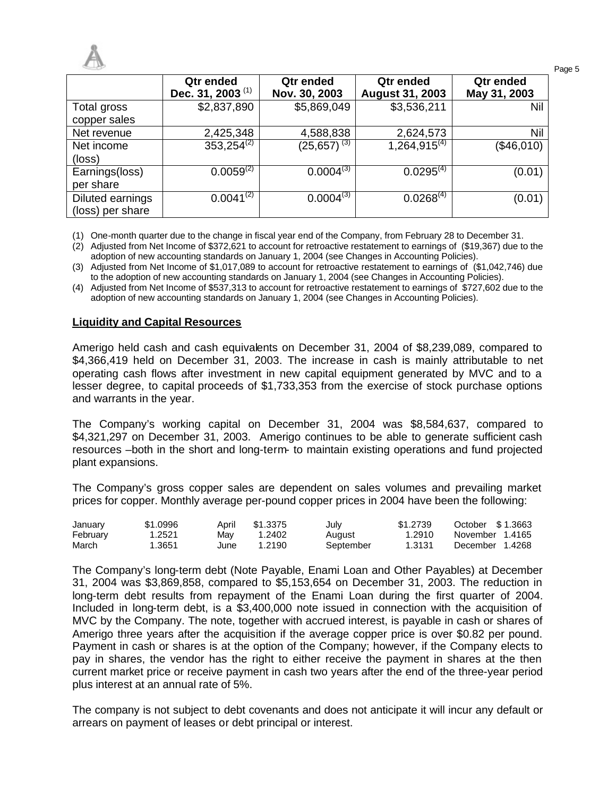| $-12$                                |                                           |                            |                                     |                           |  |  |  |
|--------------------------------------|-------------------------------------------|----------------------------|-------------------------------------|---------------------------|--|--|--|
|                                      | Qtr ended<br>Dec. 31, 2003 <sup>(1)</sup> | Qtr ended<br>Nov. 30, 2003 | Qtr ended<br><b>August 31, 2003</b> | Qtr ended<br>May 31, 2003 |  |  |  |
| Total gross<br>copper sales          | \$2,837,890                               | \$5,869,049                | \$3,536,211                         | Nil                       |  |  |  |
| Net revenue                          | 2,425,348                                 | 4,588,838                  | 2,624,573                           | Nil                       |  |  |  |
| Net income<br>(loss)                 | $353,254^{(2)}$                           | $(25,657)^{(3)}$           | $1,264,915^{(4)}$                   | (\$46,010)                |  |  |  |
| Earnings(loss)<br>per share          | $0.0059^{(2)}$                            | $0.0004^{(3)}$             | $0.0295^{(4)}$                      | (0.01)                    |  |  |  |
| Diluted earnings<br>(loss) per share | $0.0041^{(2)}$                            | $0.0004^{(3)}$             | $0.0268^{(4)}$                      | (0.01)                    |  |  |  |

(1) One-month quarter due to the change in fiscal year end of the Company, from February 28 to December 31.

(2) Adjusted from Net Income of \$372,621 to account for retroactive restatement to earnings of (\$19,367) due to the adoption of new accounting standards on January 1, 2004 (see Changes in Accounting Policies).

(3) Adjusted from Net Income of \$1,017,089 to account for retroactive restatement to earnings of (\$1,042,746) due to the adoption of new accounting standards on January 1, 2004 (see Changes in Accounting Policies).

(4) Adjusted from Net Income of \$537,313 to account for retroactive restatement to earnings of \$727,602 due to the adoption of new accounting standards on January 1, 2004 (see Changes in Accounting Policies).

### **Liquidity and Capital Resources**

Amerigo held cash and cash equivalents on December 31, 2004 of \$8,239,089, compared to \$4,366,419 held on December 31, 2003. The increase in cash is mainly attributable to net operating cash flows after investment in new capital equipment generated by MVC and to a lesser degree, to capital proceeds of \$1,733,353 from the exercise of stock purchase options and warrants in the year.

The Company's working capital on December 31, 2004 was \$8,584,637, compared to \$4,321,297 on December 31, 2003. Amerigo continues to be able to generate sufficient cash resources –both in the short and long-term- to maintain existing operations and fund projected plant expansions.

The Company's gross copper sales are dependent on sales volumes and prevailing market prices for copper. Monthly average per-pound copper prices in 2004 have been the following:

| January  | \$1.0996 | April | \$1.3375 | July      | \$1,2739 | October \$1,3663 |
|----------|----------|-------|----------|-----------|----------|------------------|
| February | 1.2521   | Mav   | 1.2402   | August    | 1.2910   | November 1.4165  |
| March    | .3651    | June  | 1.2190   | September | 1.3131   | December 1.4268  |

The Company's long-term debt (Note Payable, Enami Loan and Other Payables) at December 31, 2004 was \$3,869,858, compared to \$5,153,654 on December 31, 2003. The reduction in long-term debt results from repayment of the Enami Loan during the first quarter of 2004. Included in long-term debt, is a \$3,400,000 note issued in connection with the acquisition of MVC by the Company. The note, together with accrued interest, is payable in cash or shares of Amerigo three years after the acquisition if the average copper price is over \$0.82 per pound. Payment in cash or shares is at the option of the Company; however, if the Company elects to pay in shares, the vendor has the right to either receive the payment in shares at the then current market price or receive payment in cash two years after the end of the three-year period plus interest at an annual rate of 5%.

The company is not subject to debt covenants and does not anticipate it will incur any default or arrears on payment of leases or debt principal or interest.

Page 5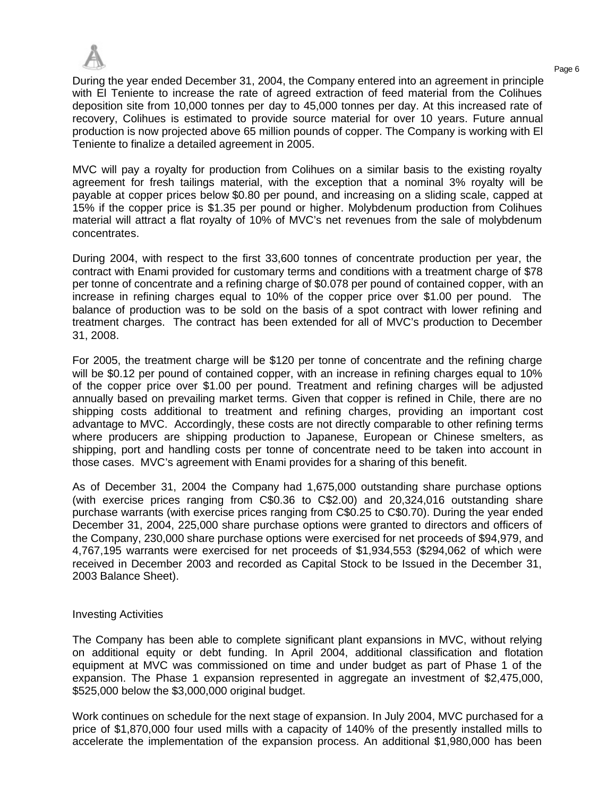

During the year ended December 31, 2004, the Company entered into an agreement in principle with El Teniente to increase the rate of agreed extraction of feed material from the Colihues deposition site from 10,000 tonnes per day to 45,000 tonnes per day. At this increased rate of recovery, Colihues is estimated to provide source material for over 10 years. Future annual production is now projected above 65 million pounds of copper. The Company is working with El Teniente to finalize a detailed agreement in 2005.

MVC will pay a royalty for production from Colihues on a similar basis to the existing royalty agreement for fresh tailings material, with the exception that a nominal 3% royalty will be payable at copper prices below \$0.80 per pound, and increasing on a sliding scale, capped at 15% if the copper price is \$1.35 per pound or higher. Molybdenum production from Colihues material will attract a flat royalty of 10% of MVC's net revenues from the sale of molybdenum concentrates.

During 2004, with respect to the first 33,600 tonnes of concentrate production per year, the contract with Enami provided for customary terms and conditions with a treatment charge of \$78 per tonne of concentrate and a refining charge of \$0.078 per pound of contained copper, with an increase in refining charges equal to 10% of the copper price over \$1.00 per pound. The balance of production was to be sold on the basis of a spot contract with lower refining and treatment charges. The contract has been extended for all of MVC's production to December 31, 2008.

For 2005, the treatment charge will be \$120 per tonne of concentrate and the refining charge will be \$0.12 per pound of contained copper, with an increase in refining charges equal to 10% of the copper price over \$1.00 per pound. Treatment and refining charges will be adjusted annually based on prevailing market terms. Given that copper is refined in Chile, there are no shipping costs additional to treatment and refining charges, providing an important cost advantage to MVC. Accordingly, these costs are not directly comparable to other refining terms where producers are shipping production to Japanese, European or Chinese smelters, as shipping, port and handling costs per tonne of concentrate need to be taken into account in those cases. MVC's agreement with Enami provides for a sharing of this benefit.

As of December 31, 2004 the Company had 1,675,000 outstanding share purchase options (with exercise prices ranging from C\$0.36 to C\$2.00) and 20,324,016 outstanding share purchase warrants (with exercise prices ranging from C\$0.25 to C\$0.70). During the year ended December 31, 2004, 225,000 share purchase options were granted to directors and officers of the Company, 230,000 share purchase options were exercised for net proceeds of \$94,979, and 4,767,195 warrants were exercised for net proceeds of \$1,934,553 (\$294,062 of which were received in December 2003 and recorded as Capital Stock to be Issued in the December 31, 2003 Balance Sheet).

### Investing Activities

The Company has been able to complete significant plant expansions in MVC, without relying on additional equity or debt funding. In April 2004, additional classification and flotation equipment at MVC was commissioned on time and under budget as part of Phase 1 of the expansion. The Phase 1 expansion represented in aggregate an investment of \$2,475,000, \$525,000 below the \$3,000,000 original budget.

Work continues on schedule for the next stage of expansion. In July 2004, MVC purchased for a price of \$1,870,000 four used mills with a capacity of 140% of the presently installed mills to accelerate the implementation of the expansion process. An additional \$1,980,000 has been

Page 6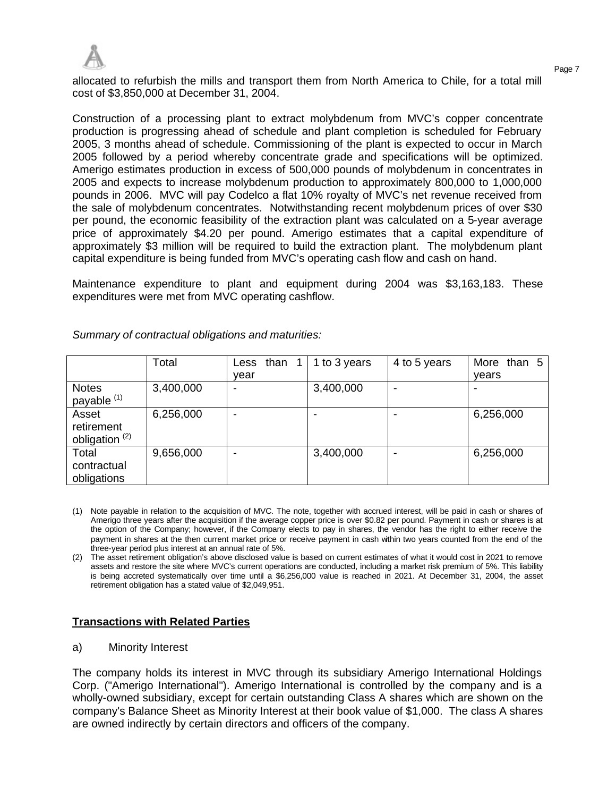

allocated to refurbish the mills and transport them from North America to Chile, for a total mill cost of \$3,850,000 at December 31, 2004.

Construction of a processing plant to extract molybdenum from MVC's copper concentrate production is progressing ahead of schedule and plant completion is scheduled for February 2005, 3 months ahead of schedule. Commissioning of the plant is expected to occur in March 2005 followed by a period whereby concentrate grade and specifications will be optimized. Amerigo estimates production in excess of 500,000 pounds of molybdenum in concentrates in 2005 and expects to increase molybdenum production to approximately 800,000 to 1,000,000 pounds in 2006. MVC will pay Codelco a flat 10% royalty of MVC's net revenue received from the sale of molybdenum concentrates. Notwithstanding recent molybdenum prices of over \$30 per pound, the economic feasibility of the extraction plant was calculated on a 5-year average price of approximately \$4.20 per pound. Amerigo estimates that a capital expenditure of approximately \$3 million will be required to build the extraction plant. The molybdenum plant capital expenditure is being funded from MVC's operating cash flow and cash on hand.

Maintenance expenditure to plant and equipment during 2004 was \$3,163,183. These expenditures were met from MVC operating cashflow.

|                                                  | Total     | than 1<br>Less<br>year   | 1 to 3 years             | 4 to 5 years | More than 5<br>vears |
|--------------------------------------------------|-----------|--------------------------|--------------------------|--------------|----------------------|
| <b>Notes</b><br>payable <sup>(1)</sup>           | 3,400,000 | $\overline{\phantom{0}}$ | 3,400,000                |              |                      |
| Asset<br>retirement<br>obligation <sup>(2)</sup> | 6,256,000 | -                        | $\overline{\phantom{0}}$ |              | 6,256,000            |
| Total<br>contractual<br>obligations              | 9,656,000 |                          | 3,400,000                |              | 6,256,000            |

*Summary of contractual obligations and maturities:*

- (1) Note payable in relation to the acquisition of MVC. The note, together with accrued interest, will be paid in cash or shares of Amerigo three years after the acquisition if the average copper price is over \$0.82 per pound. Payment in cash or shares is at the option of the Company; however, if the Company elects to pay in shares, the vendor has the right to either receive the payment in shares at the then current market price or receive payment in cash within two years counted from the end of the three-year period plus interest at an annual rate of 5%.
- (2) The asset retirement obligation's above disclosed value is based on current estimates of what it would cost in 2021 to remove assets and restore the site where MVC's current operations are conducted, including a market risk premium of 5%. This liability is being accreted systematically over time until a \$6,256,000 value is reached in 2021. At December 31, 2004, the asset retirement obligation has a stated value of \$2,049,951.

# **Transactions with Related Parties**

a) Minority Interest

The company holds its interest in MVC through its subsidiary Amerigo International Holdings Corp. ("Amerigo International"). Amerigo International is controlled by the company and is a wholly-owned subsidiary, except for certain outstanding Class A shares which are shown on the company's Balance Sheet as Minority Interest at their book value of \$1,000. The class A shares are owned indirectly by certain directors and officers of the company.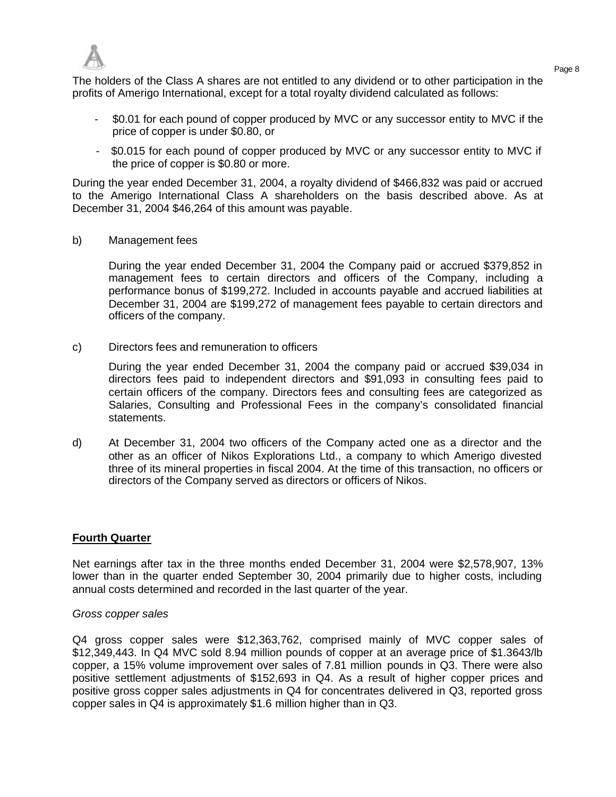

Page 8 The holders of the Class A shares are not entitled to any dividend or to other participation in the profits of Amerigo International, except for a total royalty dividend calculated as follows:

- \$0.01 for each pound of copper produced by MVC or any successor entity to MVC if the price of copper is under \$0.80, or
- \$0.015 for each pound of copper produced by MVC or any successor entity to MVC if the price of copper is \$0.80 or more.

During the year ended December 31, 2004, a royalty dividend of \$466,832 was paid or accrued to the Amerigo International Class A shareholders on the basis described above. As at December 31, 2004 \$46,264 of this amount was payable.

b) Management fees

During the year ended December 31, 2004 the Company paid or accrued \$379,852 in management fees to certain directors and officers of the Company, including a performance bonus of \$199,272. Included in accounts payable and accrued liabilities at December 31, 2004 are \$199,272 of management fees payable to certain directors and officers of the company.

c) Directors fees and remuneration to officers

During the year ended December 31, 2004 the company paid or accrued \$39,034 in directors fees paid to independent directors and \$91,093 in consulting fees paid to certain officers of the company. Directors fees and consulting fees are categorized as Salaries, Consulting and Professional Fees in the company's consolidated financial statements.

d) At December 31, 2004 two officers of the Company acted one as a director and the other as an officer of Nikos Explorations Ltd., a company to which Amerigo divested three of its mineral properties in fiscal 2004. At the time of this transaction, no officers or directors of the Company served as directors or officers of Nikos.

### **Fourth Quarter**

Net earnings after tax in the three months ended December 31, 2004 were \$2,578,907, 13% lower than in the quarter ended September 30, 2004 primarily due to higher costs, including annual costs determined and recorded in the last quarter of the year.

#### *Gross copper sales*

Q4 gross copper sales were \$12,363,762, comprised mainly of MVC copper sales of \$12,349,443. In Q4 MVC sold 8.94 million pounds of copper at an average price of \$1.3643/lb copper, a 15% volume improvement over sales of 7.81 million pounds in Q3. There were also positive settlement adjustments of \$152,693 in Q4. As a result of higher copper prices and positive gross copper sales adjustments in Q4 for concentrates delivered in Q3, reported gross copper sales in Q4 is approximately \$1.6 million higher than in Q3.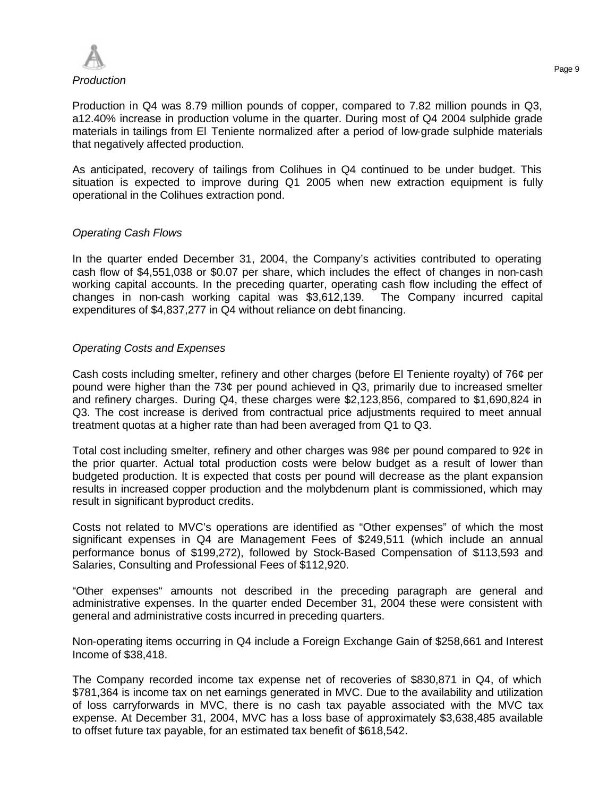

Production in Q4 was 8.79 million pounds of copper, compared to 7.82 million pounds in Q3, a12.40% increase in production volume in the quarter. During most of Q4 2004 sulphide grade materials in tailings from El Teniente normalized after a period of low-grade sulphide materials that negatively affected production.

As anticipated, recovery of tailings from Colihues in Q4 continued to be under budget. This situation is expected to improve during Q1 2005 when new extraction equipment is fully operational in the Colihues extraction pond.

## *Operating Cash Flows*

In the quarter ended December 31, 2004, the Company's activities contributed to operating cash flow of \$4,551,038 or \$0.07 per share, which includes the effect of changes in non-cash working capital accounts. In the preceding quarter, operating cash flow including the effect of changes in non-cash working capital was \$3,612,139. The Company incurred capital expenditures of \$4,837,277 in Q4 without reliance on debt financing.

## *Operating Costs and Expenses*

Cash costs including smelter, refinery and other charges (before El Teniente royalty) of 76¢ per pound were higher than the 73¢ per pound achieved in Q3, primarily due to increased smelter and refinery charges. During Q4, these charges were \$2,123,856, compared to \$1,690,824 in Q3. The cost increase is derived from contractual price adjustments required to meet annual treatment quotas at a higher rate than had been averaged from Q1 to Q3.

Total cost including smelter, refinery and other charges was 98¢ per pound compared to 92¢ in the prior quarter. Actual total production costs were below budget as a result of lower than budgeted production. It is expected that costs per pound will decrease as the plant expansion results in increased copper production and the molybdenum plant is commissioned, which may result in significant byproduct credits.

Costs not related to MVC's operations are identified as "Other expenses" of which the most significant expenses in Q4 are Management Fees of \$249,511 (which include an annual performance bonus of \$199,272), followed by Stock-Based Compensation of \$113,593 and Salaries, Consulting and Professional Fees of \$112,920.

"Other expenses" amounts not described in the preceding paragraph are general and administrative expenses. In the quarter ended December 31, 2004 these were consistent with general and administrative costs incurred in preceding quarters.

Non-operating items occurring in Q4 include a Foreign Exchange Gain of \$258,661 and Interest Income of \$38,418.

The Company recorded income tax expense net of recoveries of \$830,871 in Q4, of which \$781,364 is income tax on net earnings generated in MVC. Due to the availability and utilization of loss carryforwards in MVC, there is no cash tax payable associated with the MVC tax expense. At December 31, 2004, MVC has a loss base of approximately \$3,638,485 available to offset future tax payable, for an estimated tax benefit of \$618,542.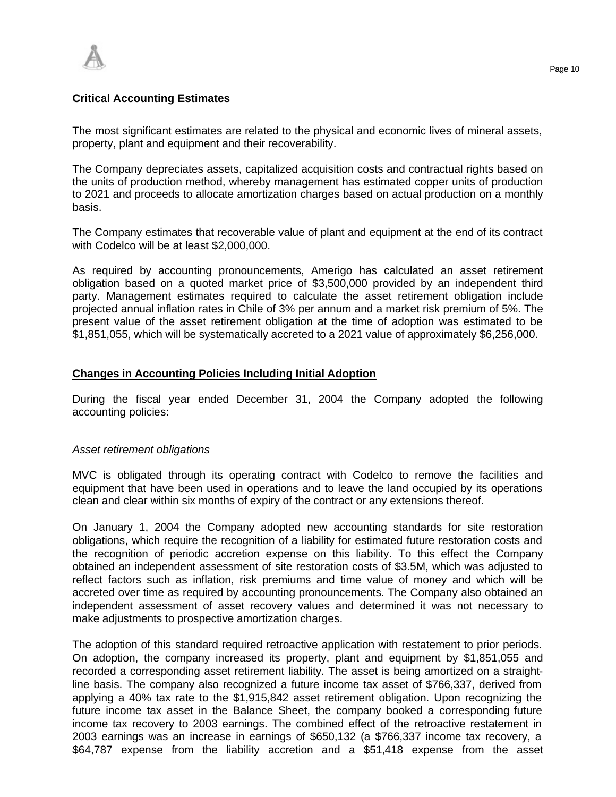

### **Critical Accounting Estimates**

The most significant estimates are related to the physical and economic lives of mineral assets, property, plant and equipment and their recoverability.

The Company depreciates assets, capitalized acquisition costs and contractual rights based on the units of production method, whereby management has estimated copper units of production to 2021 and proceeds to allocate amortization charges based on actual production on a monthly basis.

The Company estimates that recoverable value of plant and equipment at the end of its contract with Codelco will be at least \$2,000,000.

As required by accounting pronouncements, Amerigo has calculated an asset retirement obligation based on a quoted market price of \$3,500,000 provided by an independent third party. Management estimates required to calculate the asset retirement obligation include projected annual inflation rates in Chile of 3% per annum and a market risk premium of 5%. The present value of the asset retirement obligation at the time of adoption was estimated to be \$1,851,055, which will be systematically accreted to a 2021 value of approximately \$6,256,000.

### **Changes in Accounting Policies Including Initial Adoption**

During the fiscal year ended December 31, 2004 the Company adopted the following accounting policies:

### *Asset retirement obligations*

MVC is obligated through its operating contract with Codelco to remove the facilities and equipment that have been used in operations and to leave the land occupied by its operations clean and clear within six months of expiry of the contract or any extensions thereof.

On January 1, 2004 the Company adopted new accounting standards for site restoration obligations, which require the recognition of a liability for estimated future restoration costs and the recognition of periodic accretion expense on this liability. To this effect the Company obtained an independent assessment of site restoration costs of \$3.5M, which was adjusted to reflect factors such as inflation, risk premiums and time value of money and which will be accreted over time as required by accounting pronouncements. The Company also obtained an independent assessment of asset recovery values and determined it was not necessary to make adjustments to prospective amortization charges.

The adoption of this standard required retroactive application with restatement to prior periods. On adoption, the company increased its property, plant and equipment by \$1,851,055 and recorded a corresponding asset retirement liability. The asset is being amortized on a straightline basis. The company also recognized a future income tax asset of \$766,337, derived from applying a 40% tax rate to the \$1,915,842 asset retirement obligation. Upon recognizing the future income tax asset in the Balance Sheet, the company booked a corresponding future income tax recovery to 2003 earnings. The combined effect of the retroactive restatement in 2003 earnings was an increase in earnings of \$650,132 (a \$766,337 income tax recovery, a \$64,787 expense from the liability accretion and a \$51,418 expense from the asset